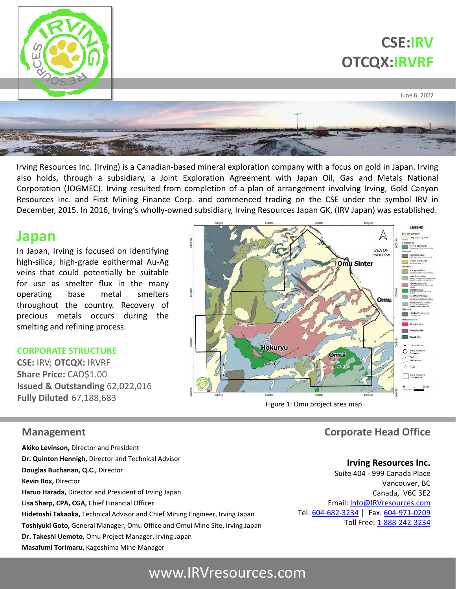

Irving Resources Inc. (Irving) is a Canadian-based mineral exploration company with a focus on gold in Japan. Irving also holds, through a subsidiary, a Joint Exploration Agreement with Japan Oil, Gas and Metals National Corporation (JOGMEC). Irving resulted from completion of a plan of arrangement involving Irving, Gold Canyon Resources Inc. and First Mining Finance Corp. and commenced trading on the CSE under the symbol IRV in December, 2015. In 2016, Irving's wholly-owned subsidiary, Irving Resources Japan GK, (IRV Japan) was established.

## **Japan**

In Japan, Irving is focused on identifying high-silica, high-grade epithermal Au-Ag veins that could potentially be suitable for use as smelter flux in the many operating base metal smelters throughout the country. Recovery of precious metals occurs during the smelting and refining process.

#### **CORPORATE STRUCTURE**

**CSE:** IRV; **OTCQX:** IRVRF **Share Price:** CAD\$1.00 **Issued & Outstanding** 62,022,016 **Fully Diluted** 67,188,683



Figure 1: Omu project area map

### **Management** Comporate Head Office

**Akiko Levinson,** Director and President **Dr. Quinton Hennigh,** Director and Technical Advisor **Douglas Buchanan, Q.C.,** Director **Kevin Box,** Director **Haruo Harada,** Director and President of Irving Japan **Lisa Sharp, CPA, CGA,** Chief Financial Officer **Hidetoshi Takaoka,** Technical Advisor and Chief Mining Engineer, Irving Japan **Toshiyuki Goto,** General Manager, Omu Office and Omui Mine Site, Irving Japan **Dr. Takeshi Uemoto,** Omu Project Manager, Irving Japan **Masafumi Torimaru,** Kagoshima Mine Manager

#### **Irving Resources Inc.**

Suite 404 - 999 Canada Place Vancouver, BC Canada, V6C 3E2 Email: [Info@IRVresources.com](mailto:Info@IRVresources.com) Tel: [604-682-3234](tel:604-682-3234) | Fax: [604-971-0209](tel:604-682-0537) Toll Free: [1-888-242-3234](tel:1-888-242-3234)

# www.IRVresources.com